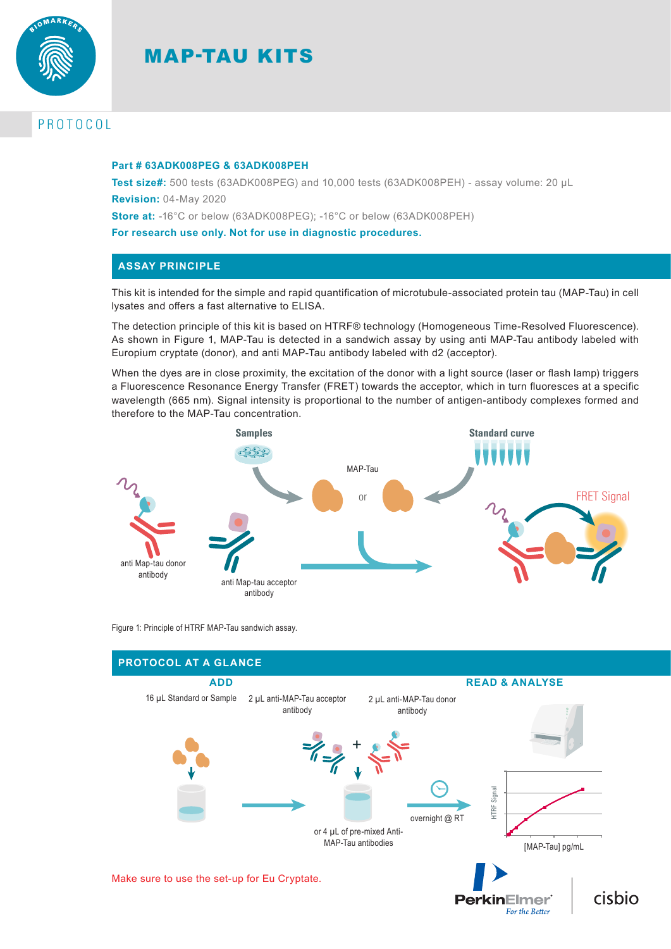

# MAP-TAU KITS

# PROTOCOL

### **Part # 63ADK008PEG & 63ADK008PEH**

**Test size#:** 500 tests (63ADK008PEG) and 10,000 tests (63ADK008PEH) - assay volume: 20 µL **Revision:** 04-May 2020

**Store at:** -16°C or below (63ADK008PEG); -16°C or below (63ADK008PEH)

**For research use only. Not for use in diagnostic procedures.**

# **ASSAY PRINCIPLE**

This kit is intended for the simple and rapid quantification of microtubule-associated protein tau (MAP-Tau) in cell lysates and offers a fast alternative to ELISA.

The detection principle of this kit is based on HTRF® technology (Homogeneous Time-Resolved Fluorescence). As shown in Figure 1, MAP-Tau is detected in a sandwich assay by using anti MAP-Tau antibody labeled with Europium cryptate (donor), and anti MAP-Tau antibody labeled with d2 (acceptor).

When the dyes are in close proximity, the excitation of the donor with a light source (laser or flash lamp) triggers a Fluorescence Resonance Energy Transfer (FRET) towards the acceptor, which in turn fluoresces at a specific wavelength (665 nm). Signal intensity is proportional to the number of antigen-antibody complexes formed and therefore to the MAP-Tau concentration.



Figure 1: Principle of HTRF MAP-Tau sandwich assay.

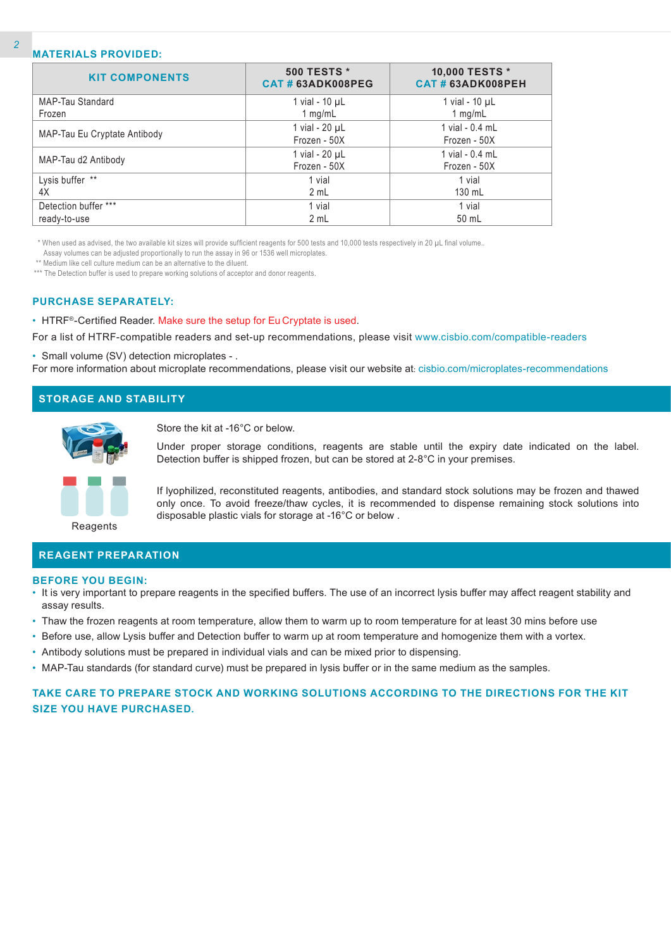# **MATERIALS PROVIDED:**

| <b>KIT COMPONENTS</b>        | <b>500 TESTS *</b><br>CAT#63ADK008PEG | 10,000 TESTS *<br>CAT#63ADK008PEH |
|------------------------------|---------------------------------------|-----------------------------------|
| MAP-Tau Standard             | 1 vial - 10 µL                        | 1 vial - $10 \mu L$               |
| Frozen                       | 1 mg/mL                               | 1 mg/mL                           |
|                              | 1 vial - 20 µL                        | 1 vial - 0.4 mL                   |
| MAP-Tau Eu Cryptate Antibody | Frozen - 50X                          | Frozen - 50X                      |
|                              | 1 vial - 20 µL                        | 1 vial - 0.4 mL                   |
| MAP-Tau d2 Antibody          | Frozen - 50X                          | Frozen - 50X                      |
| Lysis buffer **              | 1 vial                                | 1 vial                            |
| 4X                           | 2 mL                                  | 130 mL                            |
| Detection buffer ***         | 1 vial                                | 1 vial                            |
| ready-to-use                 | 2 mL                                  | 50 mL                             |

\* When used as advised, the two available kit sizes will provide sufficient reagents for 500 tests and 10,000 tests respectively in 20 µL final volume..

Assay volumes can be adjusted proportionally to run the assay in 96 or 1536 well microplates.

\*\* Medium like cell culture medium can be an alternative to the diluent.

\*\*\* The Detection buffer is used to prepare working solutions of acceptor and donor reagents.

## **PURCHASE SEPARATELY:**

• HTRF®-Certified Reader. Make sure the setup for Eu Cryptate is used.

For a list of HTRF-compatible readers and set-up recommendations, please visit www.cisbio.com/compatible-readers

• Small volume (SV) detection microplates - .

For more information about microplate recommendations, please visit our website at: cisbio.com/microplates-recommendations

|--|



Store the kit at -16°C or below.

Under proper storage conditions, reagents are stable until the expiry date indicated on the label. Detection buffer is shipped frozen, but can be stored at 2-8°C in your premises.



If lyophilized, reconstituted reagents, antibodies, and standard stock solutions may be frozen and thawed only once. To avoid freeze/thaw cycles, it is recommended to dispense remaining stock solutions into disposable plastic vials for storage at -16°C or below .

Reagents

# **REAGENT PREPARATION**

### **BEFORE YOU BEGIN:**

- It is very important to prepare reagents in the specified buffers. The use of an incorrect lysis buffer may affect reagent stability and assay results.
- Thaw the frozen reagents at room temperature, allow them to warm up to room temperature for at least 30 mins before use
- Before use, allow Lysis buffer and Detection buffer to warm up at room temperature and homogenize them with a vortex.
- Antibody solutions must be prepared in individual vials and can be mixed prior to dispensing.
- MAP-Tau standards (for standard curve) must be prepared in lysis buffer or in the same medium as the samples.

# **TAKE CARE TO PREPARE STOCK AND WORKING SOLUTIONS ACCORDING TO THE DIRECTIONS FOR THE KIT SIZE YOU HAVE PURCHASED.**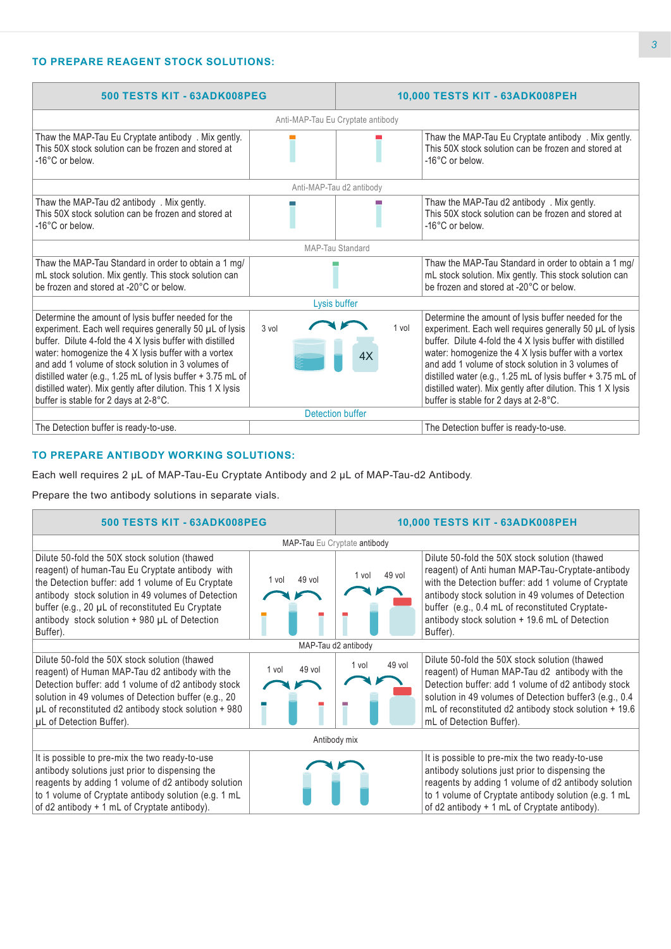# **TO PREPARE REAGENT STOCK SOLUTIONS:**

| 500 TESTS KIT - 63ADK008PEG                                                                                                                                                                                                                                                                                                                                                                                                                                      |                         | 10,000 TESTS KIT - 63ADK008PEH |                                                                                                                                                                                                                                                                                                                                                                                                                                                                  |  |  |  |
|------------------------------------------------------------------------------------------------------------------------------------------------------------------------------------------------------------------------------------------------------------------------------------------------------------------------------------------------------------------------------------------------------------------------------------------------------------------|-------------------------|--------------------------------|------------------------------------------------------------------------------------------------------------------------------------------------------------------------------------------------------------------------------------------------------------------------------------------------------------------------------------------------------------------------------------------------------------------------------------------------------------------|--|--|--|
| Anti-MAP-Tau Eu Cryptate antibody                                                                                                                                                                                                                                                                                                                                                                                                                                |                         |                                |                                                                                                                                                                                                                                                                                                                                                                                                                                                                  |  |  |  |
| Thaw the MAP-Tau Eu Cryptate antibody . Mix gently.<br>This 50X stock solution can be frozen and stored at<br>-16°C or below.                                                                                                                                                                                                                                                                                                                                    |                         |                                | Thaw the MAP-Tau Eu Cryptate antibody . Mix gently.<br>This 50X stock solution can be frozen and stored at<br>-16°C or below.                                                                                                                                                                                                                                                                                                                                    |  |  |  |
|                                                                                                                                                                                                                                                                                                                                                                                                                                                                  |                         | Anti-MAP-Tau d2 antibody       |                                                                                                                                                                                                                                                                                                                                                                                                                                                                  |  |  |  |
| Thaw the MAP-Tau d2 antibody . Mix gently.<br>This 50X stock solution can be frozen and stored at<br>-16°C or below.                                                                                                                                                                                                                                                                                                                                             |                         |                                | Thaw the MAP-Tau d2 antibody . Mix gently.<br>This 50X stock solution can be frozen and stored at<br>-16°C or below.                                                                                                                                                                                                                                                                                                                                             |  |  |  |
| <b>MAP-Tau Standard</b>                                                                                                                                                                                                                                                                                                                                                                                                                                          |                         |                                |                                                                                                                                                                                                                                                                                                                                                                                                                                                                  |  |  |  |
| Thaw the MAP-Tau Standard in order to obtain a 1 mg/<br>mL stock solution. Mix gently. This stock solution can<br>be frozen and stored at -20°C or below.                                                                                                                                                                                                                                                                                                        |                         |                                | Thaw the MAP-Tau Standard in order to obtain a 1 mg/<br>mL stock solution. Mix gently. This stock solution can<br>be frozen and stored at -20°C or below.                                                                                                                                                                                                                                                                                                        |  |  |  |
| Lysis buffer                                                                                                                                                                                                                                                                                                                                                                                                                                                     |                         |                                |                                                                                                                                                                                                                                                                                                                                                                                                                                                                  |  |  |  |
| Determine the amount of lysis buffer needed for the<br>experiment. Each well requires generally 50 µL of lysis<br>buffer. Dilute 4-fold the 4 X lysis buffer with distilled<br>water: homogenize the 4 X lysis buffer with a vortex<br>and add 1 volume of stock solution in 3 volumes of<br>distilled water (e.g., 1.25 mL of lysis buffer + 3.75 mL of<br>distilled water). Mix gently after dilution. This 1 X lysis<br>buffer is stable for 2 days at 2-8°C. | 3 vol                   | 1 vol<br>4Х                    | Determine the amount of lysis buffer needed for the<br>experiment. Each well requires generally 50 µL of lysis<br>buffer. Dilute 4-fold the 4 X lysis buffer with distilled<br>water: homogenize the 4 X lysis buffer with a vortex<br>and add 1 volume of stock solution in 3 volumes of<br>distilled water (e.g., 1.25 mL of lysis buffer + 3.75 mL of<br>distilled water). Mix gently after dilution. This 1 X lysis<br>buffer is stable for 2 days at 2-8°C. |  |  |  |
|                                                                                                                                                                                                                                                                                                                                                                                                                                                                  | <b>Detection buffer</b> |                                |                                                                                                                                                                                                                                                                                                                                                                                                                                                                  |  |  |  |
| The Detection buffer is ready-to-use.                                                                                                                                                                                                                                                                                                                                                                                                                            |                         |                                | The Detection buffer is ready-to-use.                                                                                                                                                                                                                                                                                                                                                                                                                            |  |  |  |

# **TO PREPARE ANTIBODY WORKING SOLUTIONS:**

Each well requires 2 µL of MAP-Tau-Eu Cryptate Antibody and 2 µL of MAP-Tau-d2 Antibody.

Prepare the two antibody solutions in separate vials.

| 500 TESTS KIT - 63ADK008PEG                                                                                                                                                                                                                                                                                                  |                     | 10,000 TESTS KIT - 63ADK008PEH |                                                                                                                                                                                                                                                                                                                                 |  |  |
|------------------------------------------------------------------------------------------------------------------------------------------------------------------------------------------------------------------------------------------------------------------------------------------------------------------------------|---------------------|--------------------------------|---------------------------------------------------------------------------------------------------------------------------------------------------------------------------------------------------------------------------------------------------------------------------------------------------------------------------------|--|--|
| MAP-Tau Eu Cryptate antibody                                                                                                                                                                                                                                                                                                 |                     |                                |                                                                                                                                                                                                                                                                                                                                 |  |  |
| Dilute 50-fold the 50X stock solution (thawed<br>reagent) of human-Tau Eu Cryptate antibody with<br>the Detection buffer: add 1 volume of Eu Cryptate<br>antibody stock solution in 49 volumes of Detection<br>buffer (e.g., 20 µL of reconstituted Eu Cryptate<br>antibody stock solution + 980 µL of Detection<br>Buffer). | 49 vol<br>1 vol     | 49 vol<br>1 vol                | Dilute 50-fold the 50X stock solution (thawed<br>reagent) of Anti human MAP-Tau-Cryptate-antibody<br>with the Detection buffer: add 1 volume of Cryptate<br>antibody stock solution in 49 volumes of Detection<br>buffer (e.g., 0.4 mL of reconstituted Cryptate-<br>antibody stock solution + 19.6 mL of Detection<br>Buffer). |  |  |
|                                                                                                                                                                                                                                                                                                                              | MAP-Tau d2 antibody |                                |                                                                                                                                                                                                                                                                                                                                 |  |  |
| Dilute 50-fold the 50X stock solution (thawed<br>reagent) of Human MAP-Tau d2 antibody with the<br>Detection buffer: add 1 volume of d2 antibody stock<br>solution in 49 volumes of Detection buffer (e.g., 20<br>µL of reconstituted d2 antibody stock solution + 980<br>µL of Detection Buffer).                           | $49$ vol<br>1 vol   | 49 vol<br>1 vol                | Dilute 50-fold the 50X stock solution (thawed<br>reagent) of Human MAP-Tau d2 antibody with the<br>Detection buffer: add 1 volume of d2 antibody stock<br>solution in 49 volumes of Detection buffer3 (e.g., 0.4<br>mL of reconstituted d2 antibody stock solution + 19.6<br>mL of Detection Buffer).                           |  |  |
| Antibody mix                                                                                                                                                                                                                                                                                                                 |                     |                                |                                                                                                                                                                                                                                                                                                                                 |  |  |
| It is possible to pre-mix the two ready-to-use<br>antibody solutions just prior to dispensing the<br>reagents by adding 1 volume of d2 antibody solution<br>to 1 volume of Cryptate antibody solution (e.g. 1 mL<br>of d2 antibody + 1 mL of Cryptate antibody).                                                             |                     |                                | It is possible to pre-mix the two ready-to-use<br>antibody solutions just prior to dispensing the<br>reagents by adding 1 volume of d2 antibody solution<br>to 1 volume of Cryptate antibody solution (e.g. 1 mL<br>of $d2$ antibody + 1 mL of Cryptate antibody).                                                              |  |  |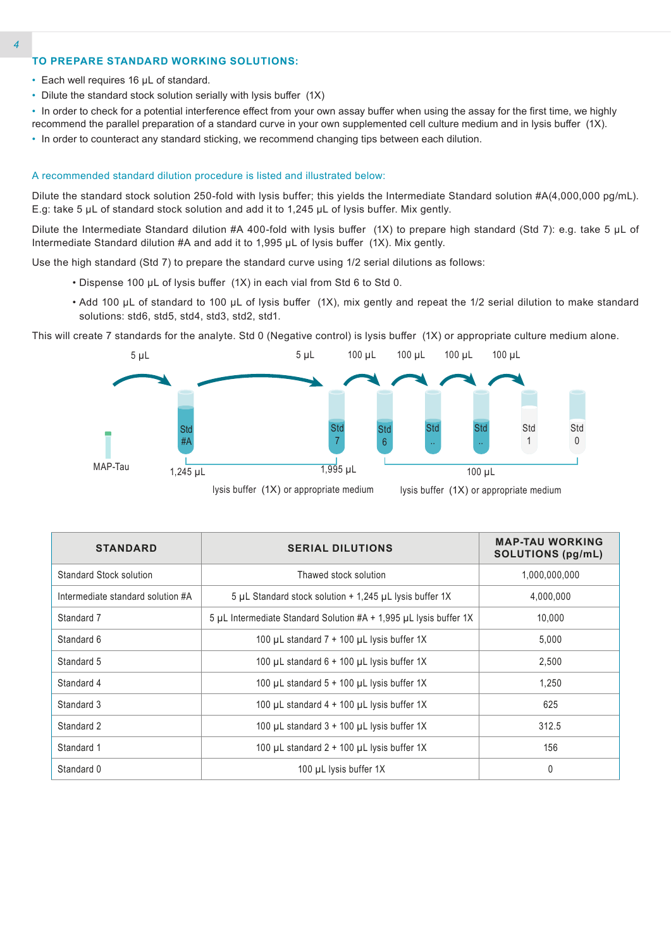### **TO PREPARE STANDARD WORKING SOLUTIONS:**

- Each well requires 16 µL of standard.
- Dilute the standard stock solution serially with lysis buffer (1X)
- In order to check for a potential interference effect from your own assay buffer when using the assay for the first time, we highly recommend the parallel preparation of a standard curve in your own supplemented cell culture medium and in lysis buffer (1X).
- In order to counteract any standard sticking, we recommend changing tips between each dilution.

### A recommended standard dilution procedure is listed and illustrated below:

Dilute the standard stock solution 250-fold with lysis buffer; this yields the Intermediate Standard solution #A(4,000,000 pg/mL). E.g: take 5 µL of standard stock solution and add it to 1,245 µL of lysis buffer. Mix gently.

Dilute the Intermediate Standard dilution #A 400-fold with lysis buffer (1X) to prepare high standard (Std 7): e.g. take 5 µL of Intermediate Standard dilution #A and add it to 1,995 µL of lysis buffer (1X). Mix gently.

Use the high standard (Std 7) to prepare the standard curve using 1/2 serial dilutions as follows:

- Dispense 100 µL of lysis buffer (1X) in each vial from Std 6 to Std 0.
- Add 100 µL of standard to 100 µL of lysis buffer (1X), mix gently and repeat the 1/2 serial dilution to make standard solutions: std6, std5, std4, std3, std2, std1.

This will create 7 standards for the analyte. Std 0 (Negative control) is lysis buffer (1X) or appropriate culture medium alone.



lysis buffer (1X) or appropriate medium lysis buffer (1X) or appropriate medium

| <b>STANDARD</b>                   | <b>SERIAL DILUTIONS</b>                                           | <b>MAP-TAU WORKING</b><br>SOLUTIONS (pg/mL) |  |
|-----------------------------------|-------------------------------------------------------------------|---------------------------------------------|--|
| Standard Stock solution           | Thawed stock solution                                             | 1,000,000,000                               |  |
| Intermediate standard solution #A | 5 µL Standard stock solution $+$ 1,245 µL lysis buffer 1X         | 4,000,000                                   |  |
| Standard 7                        | 5 µL Intermediate Standard Solution #A + 1,995 µL Ivsis buffer 1X | 10.000                                      |  |
| Standard 6                        | 100 µL standard $7 + 100$ µL lysis buffer 1X                      | 5,000                                       |  |
| Standard 5                        | 100 µL standard $6 + 100$ µL lysis buffer 1X                      | 2,500                                       |  |
| Standard 4                        | 100 $\mu$ L standard 5 + 100 $\mu$ L lysis buffer 1X              | 1,250                                       |  |
| Standard 3                        | 100 µL standard 4 + 100 µL lysis buffer 1X                        | 625                                         |  |
| Standard 2                        | 100 $\mu$ L standard 3 + 100 $\mu$ L lysis buffer 1X              | 312.5                                       |  |
| Standard 1                        | 100 $\mu$ L standard 2 + 100 $\mu$ L lysis buffer 1X              | 156                                         |  |
| Standard 0                        | 100 µL lysis buffer 1X                                            | 0                                           |  |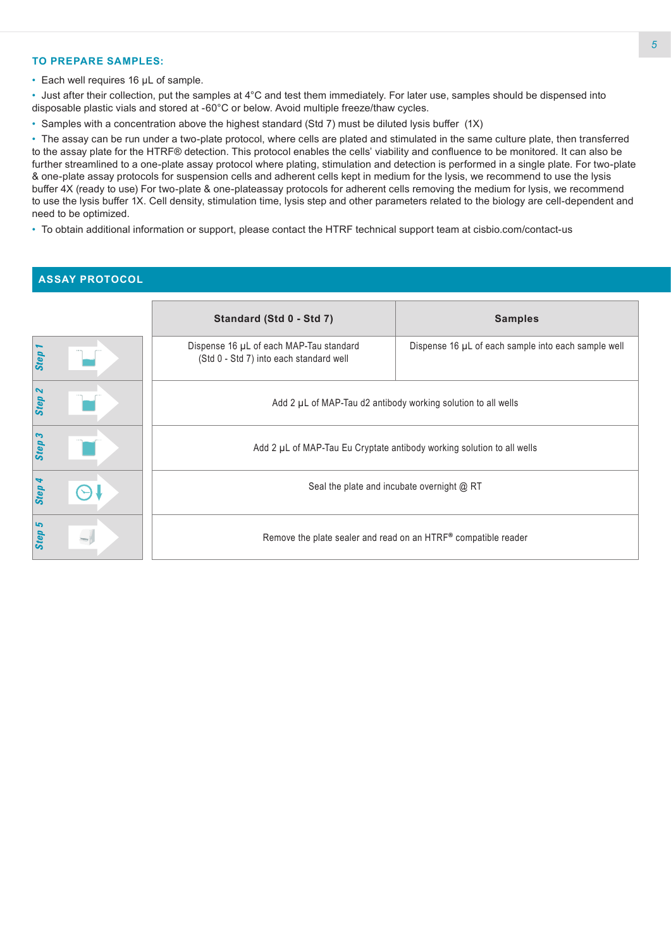# **TO PREPARE SAMPLES:**

• Each well requires 16 µL of sample.

• Just after their collection, put the samples at 4°C and test them immediately. For later use, samples should be dispensed into disposable plastic vials and stored at -60°C or below. Avoid multiple freeze/thaw cycles.

• Samples with a concentration above the highest standard (Std 7) must be diluted lysis buffer (1X)

• The assay can be run under a two-plate protocol, where cells are plated and stimulated in the same culture plate, then transferred to the assay plate for the HTRF® detection. This protocol enables the cells' viability and confluence to be monitored. It can also be further streamlined to a one-plate assay protocol where plating, stimulation and detection is performed in a single plate. For two-plate & one-plate assay protocols for suspension cells and adherent cells kept in medium for the lysis, we recommend to use the lysis buffer 4X (ready to use) For two-plate & one-plateassay protocols for adherent cells removing the medium for lysis, we recommend to use the lysis buffer 1X. Cell density, stimulation time, lysis step and other parameters related to the biology are cell-dependent and need to be optimized.

• To obtain additional information or support, please contact the HTRF technical support team at cisbio.com/contact-us

# **ASSAY PROTOCOL**

|                   | Standard (Std 0 - Std 7)                                                           | <b>Samples</b>                                      |  |  |  |
|-------------------|------------------------------------------------------------------------------------|-----------------------------------------------------|--|--|--|
| Step              | Dispense 16 µL of each MAP-Tau standard<br>(Std 0 - Std 7) into each standard well | Dispense 16 µL of each sample into each sample well |  |  |  |
| Step <sub>2</sub> | Add 2 µL of MAP-Tau d2 antibody working solution to all wells                      |                                                     |  |  |  |
| Step 3            | Add 2 µL of MAP-Tau Eu Cryptate antibody working solution to all wells             |                                                     |  |  |  |
| Step              | Seal the plate and incubate overnight @ RT                                         |                                                     |  |  |  |
| 5<br>Step         | Remove the plate sealer and read on an HTRF® compatible reader                     |                                                     |  |  |  |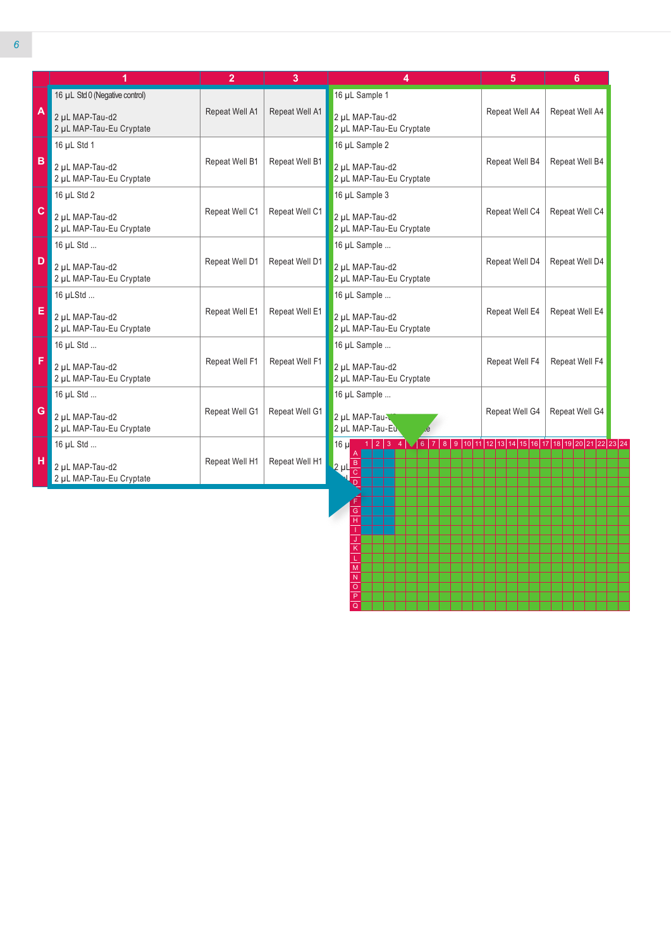|              | 1                                           | $\overline{2}$ | 3              | 4                                                                                                                         | 5              | 6              |
|--------------|---------------------------------------------|----------------|----------------|---------------------------------------------------------------------------------------------------------------------------|----------------|----------------|
|              | 16 µL Std 0 (Negative control)              |                |                | 16 µL Sample 1                                                                                                            |                |                |
| $\mathsf{A}$ | 2 µL MAP-Tau-d2<br>2 µL MAP-Tau-Eu Cryptate | Repeat Well A1 | Repeat Well A1 | 2 µL MAP-Tau-d2<br>2 µL MAP-Tau-Eu Cryptate                                                                               | Repeat Well A4 | Repeat Well A4 |
|              | 16 µL Std 1                                 |                |                | 16 µL Sample 2                                                                                                            |                |                |
| B            | 2 µL MAP-Tau-d2<br>2 µL MAP-Tau-Eu Cryptate | Repeat Well B1 | Repeat Well B1 | 2 µL MAP-Tau-d2<br>2 µL MAP-Tau-Eu Cryptate                                                                               | Repeat Well B4 | Repeat Well B4 |
|              | 16 µL Std 2                                 |                |                | 16 µL Sample 3                                                                                                            |                |                |
| $\mathbf{C}$ | 2 µL MAP-Tau-d2<br>2 µL MAP-Tau-Eu Cryptate | Repeat Well C1 | Repeat Well C1 | 2 µL MAP-Tau-d2<br>2 µL MAP-Tau-Eu Cryptate                                                                               | Repeat Well C4 | Repeat Well C4 |
|              | 16 µL Std                                   |                |                | 16 µL Sample                                                                                                              |                |                |
| D            | 2 µL MAP-Tau-d2<br>2 µL MAP-Tau-Eu Cryptate | Repeat Well D1 | Repeat Well D1 | 2 uL MAP-Tau-d2<br>2 µL MAP-Tau-Eu Cryptate                                                                               | Repeat Well D4 | Repeat Well D4 |
|              | 16 µLStd                                    |                |                | 16 µL Sample                                                                                                              |                |                |
| E            | 2 uL MAP-Tau-d2<br>2 µL MAP-Tau-Eu Cryptate | Repeat Well E1 | Repeat Well E1 | 2 uL MAP-Tau-d2<br>2 µL MAP-Tau-Eu Cryptate                                                                               | Repeat Well E4 | Repeat Well E4 |
|              | 16 µL Std                                   |                |                | 16 µL Sample                                                                                                              |                |                |
| F            | 2 µL MAP-Tau-d2<br>2 µL MAP-Tau-Eu Cryptate | Repeat Well F1 | Repeat Well F1 | 2 uL MAP-Tau-d2<br>2 µL MAP-Tau-Eu Cryptate                                                                               | Repeat Well F4 | Repeat Well F4 |
|              | 16 µL Std                                   |                |                | 16 µL Sample                                                                                                              |                |                |
| G            | 2 uL MAP-Tau-d2<br>2 µL MAP-Tau-Eu Cryptate | Repeat Well G1 | Repeat Well G1 | 2 µL MAP-Tau-C<br>2 µL MAP-Tau-Eu                                                                                         | Repeat Well G4 | Repeat Well G4 |
|              | 16 µL Std                                   |                |                | $1   2   3   4   \sqrt{6   7   8   9   10   11   12   13   14   15   16   17   18   19   20   21   22   23   24}$<br>16 µ |                |                |
| н            | 2 µL MAP-Tau-d2<br>2 µL MAP-Tau-Eu Cryptate | Repeat Well H1 | Repeat Well H1 | $2 \mu l \frac{B}{C}$                                                                                                     |                |                |

H I J K L M N O P Q